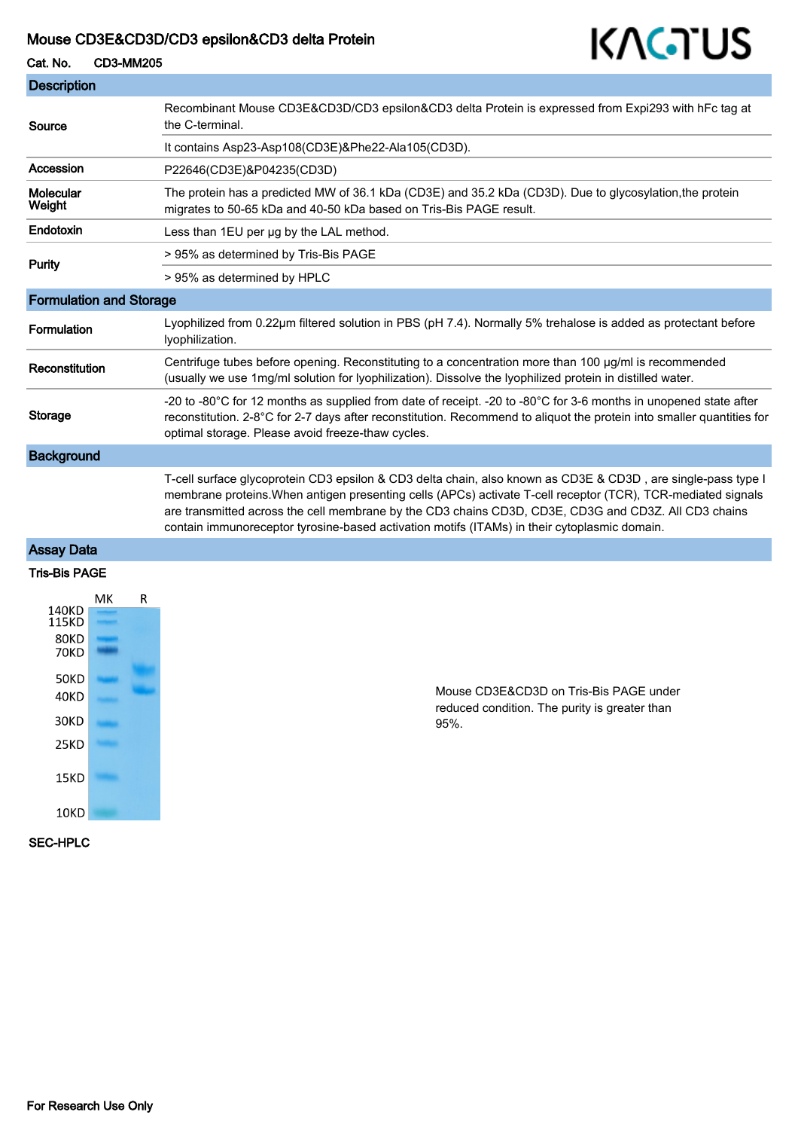#### Mouse CD3E&CD3D/CD3 epsilon&CD3 delta Protein

### Cat. No. CD3-MM205



#### Assay Data

#### Tris-Bis PAGE



Mouse CD3E&CD3D on Tris-Bis PAGE under reduced condition. The purity is greater than 95%.

KAGTUS

SEC-HPLC